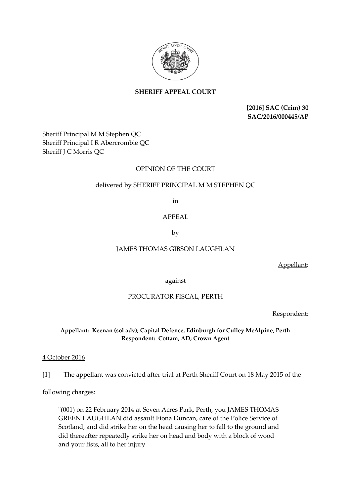

# **SHERIFF APPEAL COURT**

**[2016] SAC (Crim) 30 SAC/2016/000445/AP**

Sheriff Principal M M Stephen QC Sheriff Principal I R Abercrombie QC Sheriff J C Morris QC

## OPINION OF THE COURT

## delivered by SHERIFF PRINCIPAL M M STEPHEN QC

in

### APPEAL

by

### JAMES THOMAS GIBSON LAUGHLAN

Appellant:

against

### PROCURATOR FISCAL, PERTH

Respondent:

### **Appellant: Keenan (sol adv); Capital Defence, Edinburgh for Culley McAlpine, Perth Respondent: Cottam, AD; Crown Agent**

### 4 October 2016

[1] The appellant was convicted after trial at Perth Sheriff Court on 18 May 2015 of the

following charges:

"(001) on 22 February 2014 at Seven Acres Park, Perth, you JAMES THOMAS GREEN LAUGHLAN did assault Fiona Duncan, care of the Police Service of Scotland, and did strike her on the head causing her to fall to the ground and did thereafter repeatedly strike her on head and body with a block of wood and your fists, all to her injury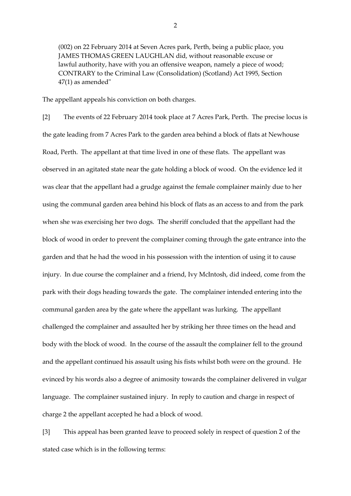(002) on 22 February 2014 at Seven Acres park, Perth, being a public place, you JAMES THOMAS GREEN LAUGHLAN did, without reasonable excuse or lawful authority, have with you an offensive weapon, namely a piece of wood; CONTRARY to the Criminal Law (Consolidation) (Scotland) Act 1995, Section 47(1) as amended"

The appellant appeals his conviction on both charges.

[2] The events of 22 February 2014 took place at 7 Acres Park, Perth. The precise locus is the gate leading from 7 Acres Park to the garden area behind a block of flats at Newhouse Road, Perth. The appellant at that time lived in one of these flats. The appellant was observed in an agitated state near the gate holding a block of wood. On the evidence led it was clear that the appellant had a grudge against the female complainer mainly due to her using the communal garden area behind his block of flats as an access to and from the park when she was exercising her two dogs. The sheriff concluded that the appellant had the block of wood in order to prevent the complainer coming through the gate entrance into the garden and that he had the wood in his possession with the intention of using it to cause injury. In due course the complainer and a friend, Ivy McIntosh, did indeed, come from the park with their dogs heading towards the gate. The complainer intended entering into the communal garden area by the gate where the appellant was lurking. The appellant challenged the complainer and assaulted her by striking her three times on the head and body with the block of wood. In the course of the assault the complainer fell to the ground and the appellant continued his assault using his fists whilst both were on the ground. He evinced by his words also a degree of animosity towards the complainer delivered in vulgar language. The complainer sustained injury. In reply to caution and charge in respect of charge 2 the appellant accepted he had a block of wood.

[3] This appeal has been granted leave to proceed solely in respect of question 2 of the stated case which is in the following terms: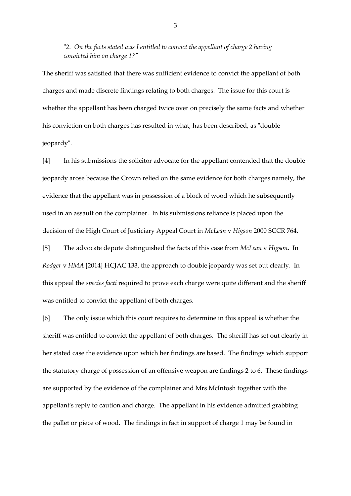"*2. On the facts stated was I entitled to convict the appellant of charge 2 having convicted him on charge 1?"*

The sheriff was satisfied that there was sufficient evidence to convict the appellant of both charges and made discrete findings relating to both charges. The issue for this court is whether the appellant has been charged twice over on precisely the same facts and whether his conviction on both charges has resulted in what, has been described, as "double jeopardy".

[4] In his submissions the solicitor advocate for the appellant contended that the double jeopardy arose because the Crown relied on the same evidence for both charges namely, the evidence that the appellant was in possession of a block of wood which he subsequently used in an assault on the complainer. In his submissions reliance is placed upon the decision of the High Court of Justiciary Appeal Court in *McLean* v *Higson* 2000 SCCR 764.

[5] The advocate depute distinguished the facts of this case from *McLean* v *Higson*. In *Rodger* v *HMA* [2014] HCJAC 133, the approach to double jeopardy was set out clearly. In this appeal the *species facti* required to prove each charge were quite different and the sheriff was entitled to convict the appellant of both charges.

[6] The only issue which this court requires to determine in this appeal is whether the sheriff was entitled to convict the appellant of both charges. The sheriff has set out clearly in her stated case the evidence upon which her findings are based. The findings which support the statutory charge of possession of an offensive weapon are findings 2 to 6. These findings are supported by the evidence of the complainer and Mrs McIntosh together with the appellant's reply to caution and charge. The appellant in his evidence admitted grabbing the pallet or piece of wood. The findings in fact in support of charge 1 may be found in

3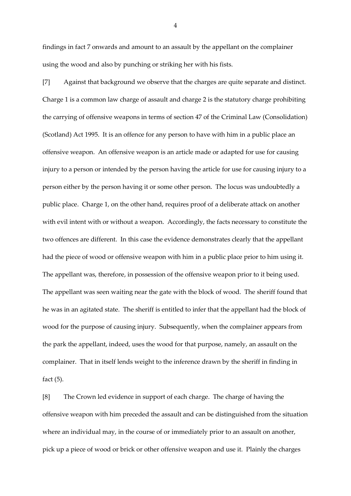findings in fact 7 onwards and amount to an assault by the appellant on the complainer using the wood and also by punching or striking her with his fists.

[7] Against that background we observe that the charges are quite separate and distinct. Charge 1 is a common law charge of assault and charge 2 is the statutory charge prohibiting the carrying of offensive weapons in terms of section 47 of the Criminal Law (Consolidation) (Scotland) Act 1995. It is an offence for any person to have with him in a public place an offensive weapon. An offensive weapon is an article made or adapted for use for causing injury to a person or intended by the person having the article for use for causing injury to a person either by the person having it or some other person. The locus was undoubtedly a public place. Charge 1, on the other hand, requires proof of a deliberate attack on another with evil intent with or without a weapon. Accordingly, the facts necessary to constitute the two offences are different. In this case the evidence demonstrates clearly that the appellant had the piece of wood or offensive weapon with him in a public place prior to him using it. The appellant was, therefore, in possession of the offensive weapon prior to it being used. The appellant was seen waiting near the gate with the block of wood. The sheriff found that he was in an agitated state. The sheriff is entitled to infer that the appellant had the block of wood for the purpose of causing injury. Subsequently, when the complainer appears from the park the appellant, indeed, uses the wood for that purpose, namely, an assault on the complainer. That in itself lends weight to the inference drawn by the sheriff in finding in fact (5).

[8] The Crown led evidence in support of each charge. The charge of having the offensive weapon with him preceded the assault and can be distinguished from the situation where an individual may, in the course of or immediately prior to an assault on another, pick up a piece of wood or brick or other offensive weapon and use it. Plainly the charges

4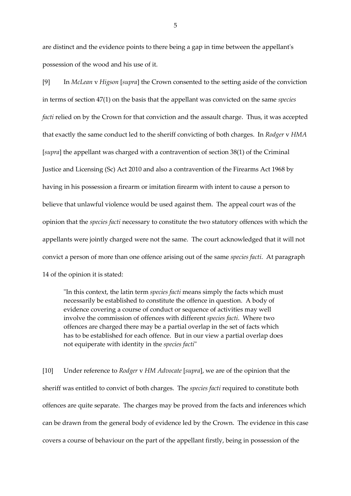are distinct and the evidence points to there being a gap in time between the appellant's possession of the wood and his use of it.

[9] In *McLean* v *Higson* [*supra*] the Crown consented to the setting aside of the conviction in terms of section 47(1) on the basis that the appellant was convicted on the same *species facti* relied on by the Crown for that conviction and the assault charge. Thus, it was accepted that exactly the same conduct led to the sheriff convicting of both charges. In *Rodger* v *HMA* [*supra*] the appellant was charged with a contravention of section 38(1) of the Criminal Justice and Licensing (Sc) Act 2010 and also a contravention of the Firearms Act 1968 by having in his possession a firearm or imitation firearm with intent to cause a person to believe that unlawful violence would be used against them. The appeal court was of the opinion that the *species facti* necessary to constitute the two statutory offences with which the appellants were jointly charged were not the same. The court acknowledged that it will not convict a person of more than one offence arising out of the same *species facti*. At paragraph 14 of the opinion it is stated:

"In this context, the latin term *species facti* means simply the facts which must necessarily be established to constitute the offence in question. A body of evidence covering a course of conduct or sequence of activities may well involve the commission of offences with different *species facti*. Where two offences are charged there may be a partial overlap in the set of facts which has to be established for each offence. But in our view a partial overlap does not equiperate with identity in the *species facti*"

[10] Under reference to *Rodger* v *HM Advocate* [*supra*], we are of the opinion that the sheriff was entitled to convict of both charges. The *species facti* required to constitute both offences are quite separate. The charges may be proved from the facts and inferences which can be drawn from the general body of evidence led by the Crown. The evidence in this case covers a course of behaviour on the part of the appellant firstly, being in possession of the

5